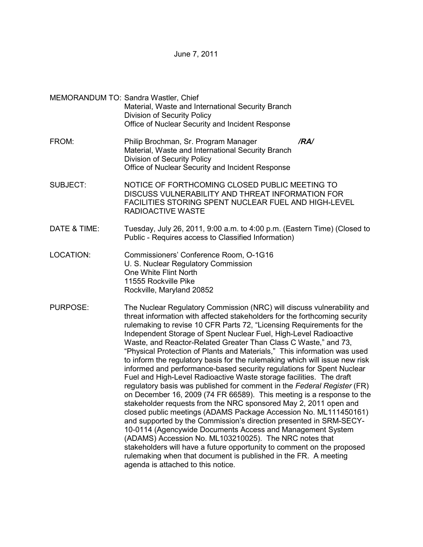June 7, 2011

|                  | MEMORANDUM TO: Sandra Wastler, Chief<br>Material, Waste and International Security Branch<br><b>Division of Security Policy</b><br>Office of Nuclear Security and Incident Response                                                                                                                                                                                                                                                                                                                                                                                                                                                                                                                                                                                                                                                                                                                                                                                                                                                                                                                                                                                                                                                                                                                                                                           |
|------------------|---------------------------------------------------------------------------------------------------------------------------------------------------------------------------------------------------------------------------------------------------------------------------------------------------------------------------------------------------------------------------------------------------------------------------------------------------------------------------------------------------------------------------------------------------------------------------------------------------------------------------------------------------------------------------------------------------------------------------------------------------------------------------------------------------------------------------------------------------------------------------------------------------------------------------------------------------------------------------------------------------------------------------------------------------------------------------------------------------------------------------------------------------------------------------------------------------------------------------------------------------------------------------------------------------------------------------------------------------------------|
| FROM:            | Philip Brochman, Sr. Program Manager<br>/RA/<br>Material, Waste and International Security Branch<br>Division of Security Policy<br>Office of Nuclear Security and Incident Response                                                                                                                                                                                                                                                                                                                                                                                                                                                                                                                                                                                                                                                                                                                                                                                                                                                                                                                                                                                                                                                                                                                                                                          |
| SUBJECT:         | NOTICE OF FORTHCOMING CLOSED PUBLIC MEETING TO<br>DISCUSS VULNERABILITY AND THREAT INFORMATION FOR<br>FACILITIES STORING SPENT NUCLEAR FUEL AND HIGH-LEVEL<br><b>RADIOACTIVE WASTE</b>                                                                                                                                                                                                                                                                                                                                                                                                                                                                                                                                                                                                                                                                                                                                                                                                                                                                                                                                                                                                                                                                                                                                                                        |
| DATE & TIME:     | Tuesday, July 26, 2011, 9:00 a.m. to 4:00 p.m. (Eastern Time) (Closed to<br>Public - Requires access to Classified Information)                                                                                                                                                                                                                                                                                                                                                                                                                                                                                                                                                                                                                                                                                                                                                                                                                                                                                                                                                                                                                                                                                                                                                                                                                               |
| <b>LOCATION:</b> | Commissioners' Conference Room, O-1G16<br>U. S. Nuclear Regulatory Commission<br>One White Flint North<br>11555 Rockville Pike<br>Rockville, Maryland 20852                                                                                                                                                                                                                                                                                                                                                                                                                                                                                                                                                                                                                                                                                                                                                                                                                                                                                                                                                                                                                                                                                                                                                                                                   |
| PURPOSE:         | The Nuclear Regulatory Commission (NRC) will discuss vulnerability and<br>threat information with affected stakeholders for the forthcoming security<br>rulemaking to revise 10 CFR Parts 72, "Licensing Requirements for the<br>Independent Storage of Spent Nuclear Fuel, High-Level Radioactive<br>Waste, and Reactor-Related Greater Than Class C Waste," and 73,<br>"Physical Protection of Plants and Materials," This information was used<br>to inform the regulatory basis for the rulemaking which will issue new risk<br>informed and performance-based security regulations for Spent Nuclear<br>Fuel and High-Level Radioactive Waste storage facilities. The draft<br>regulatory basis was published for comment in the Federal Register (FR)<br>on December 16, 2009 (74 FR 66589). This meeting is a response to the<br>stakeholder requests from the NRC sponsored May 2, 2011 open and<br>closed public meetings (ADAMS Package Accession No. ML111450161)<br>and supported by the Commission's direction presented in SRM-SECY-<br>10-0114 (Agencywide Documents Access and Management System<br>(ADAMS) Accession No. ML103210025). The NRC notes that<br>stakeholders will have a future opportunity to comment on the proposed<br>rulemaking when that document is published in the FR. A meeting<br>agenda is attached to this notice. |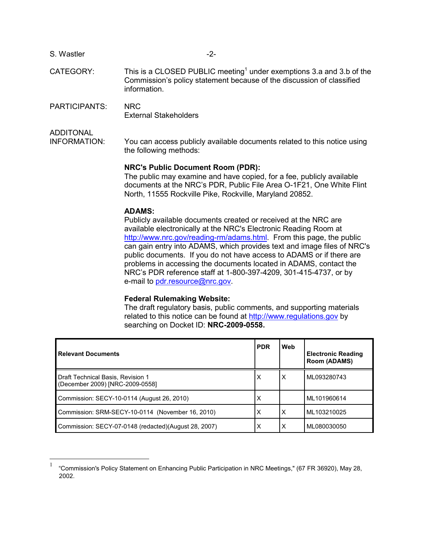| S. Wastler |  |
|------------|--|
|------------|--|

- CATEGORY: This is a CLOSED PUBLIC meeting<sup>1</sup> under exemptions 3.a and 3.b of the Commission's policy statement because of the discussion of classified information.
- PARTICIPANTS: NRC External Stakeholders

ADDITONAL

1

INFORMATION: You can access publicly available documents related to this notice using the following methods:

#### **NRC's Public Document Room (PDR):**

 The public may examine and have copied, for a fee, publicly available documents at the NRC's PDR, Public File Area O-1F21, One White Flint North, 11555 Rockville Pike, Rockville, Maryland 20852.

### **ADAMS:**

 Publicly available documents created or received at the NRC are available electronically at the NRC's Electronic Reading Room at http://www.nrc.gov/reading-rm/adams.html. From this page, the public can gain entry into ADAMS, which provides text and image files of NRC's public documents. If you do not have access to ADAMS or if there are problems in accessing the documents located in ADAMS, contact the NRC's PDR reference staff at 1-800-397-4209, 301-415-4737, or by e-mail to pdr.resource@nrc.gov.

#### **Federal Rulemaking Website:**

The draft regulatory basis, public comments, and supporting materials related to this notice can be found at http://www.regulations.gov by searching on Docket ID: **NRC-2009-0558.**

| <b>Relevant Documents</b>                                            | <b>PDR</b> | Web | <b>Electronic Reading</b><br>Room (ADAMS) |
|----------------------------------------------------------------------|------------|-----|-------------------------------------------|
| Draft Technical Basis, Revision 1<br>(December 2009) [NRC-2009-0558] | х          | Х   | ML093280743                               |
| Commission: SECY-10-0114 (August 26, 2010)                           | x          |     | ML101960614                               |
| Commission: SRM-SECY-10-0114 (November 16, 2010)                     | X          | X   | ML103210025                               |
| Commission: SECY-07-0148 (redacted)(August 28, 2007)                 | х          | X   | ML080030050                               |

<sup>1</sup> "Commission's Policy Statement on Enhancing Public Participation in NRC Meetings," (67 FR 36920), May 28, 2002.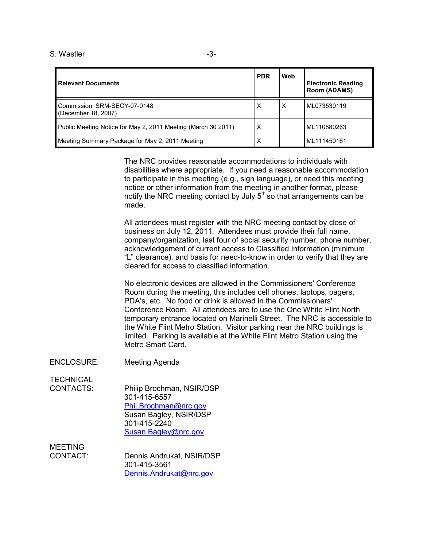| <b>Relevant Documents</b>                                     | <b>PDR</b> | Web | <b>Electronic Reading</b><br>Room (ADAMS) |
|---------------------------------------------------------------|------------|-----|-------------------------------------------|
| Commission: SRM-SECY-07-0148<br>(December 18, 2007)           | X          | X   | ML073530119                               |
| Public Meeting Notice for May 2, 2011 Meeting (March 30 2011) | X          |     | ML110880263                               |
| Meeting Summary Package for May 2, 2011 Meeting               | X          |     | ML111450161                               |

The NRC provides reasonable accommodations to individuals with disabilities where appropriate. If you need a reasonable accommodation to participate in this meeting (e.g., sign language), or need this meeting notice or other information from the meeting in another format, please notify the NRC meeting contact by July  $5<sup>th</sup>$  so that arrangements can be made.

All attendees must register with the NRC meeting contact by close of business on July 12, 2011. Attendees must provide their full name, company/organization, last four of social security number, phone number, acknowledgement of current access to Classified Information (minimum "L" clearance), and basis for need-to-know in order to verify that they are cleared for access to classified information.

No electronic devices are allowed in the Commissioners' Conference Room during the meeting, this includes cell phones, laptops, pagers, PDA's, etc. No food or drink is allowed in the Commissioners' Conference Room. All attendees are to use the One White Flint North temporary entrance located on Marinelli Street. The NRC is accessible to the White Flint Metro Station. Visitor parking near the NRC buildings is limited. Parking is available at the White Flint Metro Station using the Metro Smart Card.

ENCLOSURE: Meeting Agenda

**TECHNICAL** 

CONTACTS: Philip Brochman, NSIR/DSP 301-415-6557 Phil.Brochman@nrc.gov Susan Bagley, NSIR/DSP 301-415-2240 Susan.Bagley@nrc.gov

MEETING

CONTACT: Dennis Andrukat, NSIR/DSP 301-415-3561 Dennis.Andrukat@nrc.gov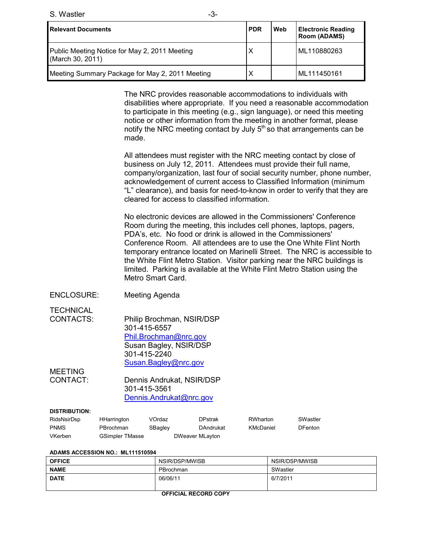S. Wastler  $-3$ -

| <b>Relevant Documents</b>                                         | <b>PDR</b> | Web | <b>Electronic Reading</b><br><b>Room (ADAMS)</b> |
|-------------------------------------------------------------------|------------|-----|--------------------------------------------------|
| Public Meeting Notice for May 2, 2011 Meeting<br>(March 30, 2011) |            |     | ML110880263                                      |
| Meeting Summary Package for May 2, 2011 Meeting                   |            |     | ML111450161                                      |

The NRC provides reasonable accommodations to individuals with disabilities where appropriate. If you need a reasonable accommodation to participate in this meeting (e.g., sign language), or need this meeting notice or other information from the meeting in another format, please notify the NRC meeting contact by July  $5<sup>th</sup>$  so that arrangements can be made.

All attendees must register with the NRC meeting contact by close of business on July 12, 2011. Attendees must provide their full name, company/organization, last four of social security number, phone number, acknowledgement of current access to Classified Information (minimum "L" clearance), and basis for need-to-know in order to verify that they are cleared for access to classified information.

No electronic devices are allowed in the Commissioners' Conference Room during the meeting, this includes cell phones, laptops, pagers, PDA's, etc. No food or drink is allowed in the Commissioners' Conference Room. All attendees are to use the One White Flint North temporary entrance located on Marinelli Street. The NRC is accessible to the White Flint Metro Station. Visitor parking near the NRC buildings is limited. Parking is available at the White Flint Metro Station using the Metro Smart Card.

ENCLOSURE: Meeting Agenda

**TECHNICAL** 

CONTACTS: Philip Brochman, NSIR/DSP 301-415-6557 Phil.Brochman@nrc.gov Susan Bagley, NSIR/DSP 301-415-2240 Susan.Bagley@nrc.gov

MEETING

CONTACT: Dennis Andrukat, NSIR/DSP 301-415-3561 Dennis.Andrukat@nrc.gov

#### **DISTRIBUTION:**

| RidsNsirDsp | HHarrington            | VOrdaz  |                 | <b>DPstrak</b> | RWharton  | SWastler       |
|-------------|------------------------|---------|-----------------|----------------|-----------|----------------|
| <b>PNMS</b> | PBrochman              | SBagley |                 | DAndrukat      | KMcDaniel | <b>DFenton</b> |
| VKerben     | <b>GSimpler TMasse</b> |         | DWeaver MLayton |                |           |                |

| ADAMS ACCESSION NO.: ML111510594 |  |
|----------------------------------|--|
|----------------------------------|--|

| <b>OFFICE</b> | NSIR/DSP/MWISB | NSIR/DSP/MWISB |
|---------------|----------------|----------------|
| <b>NAME</b>   | PBrochman      | SWastler       |
| <b>DATE</b>   | 06/06/11       | 6/7/2011       |
|               |                |                |

**OFFICIAL RECORD COPY**